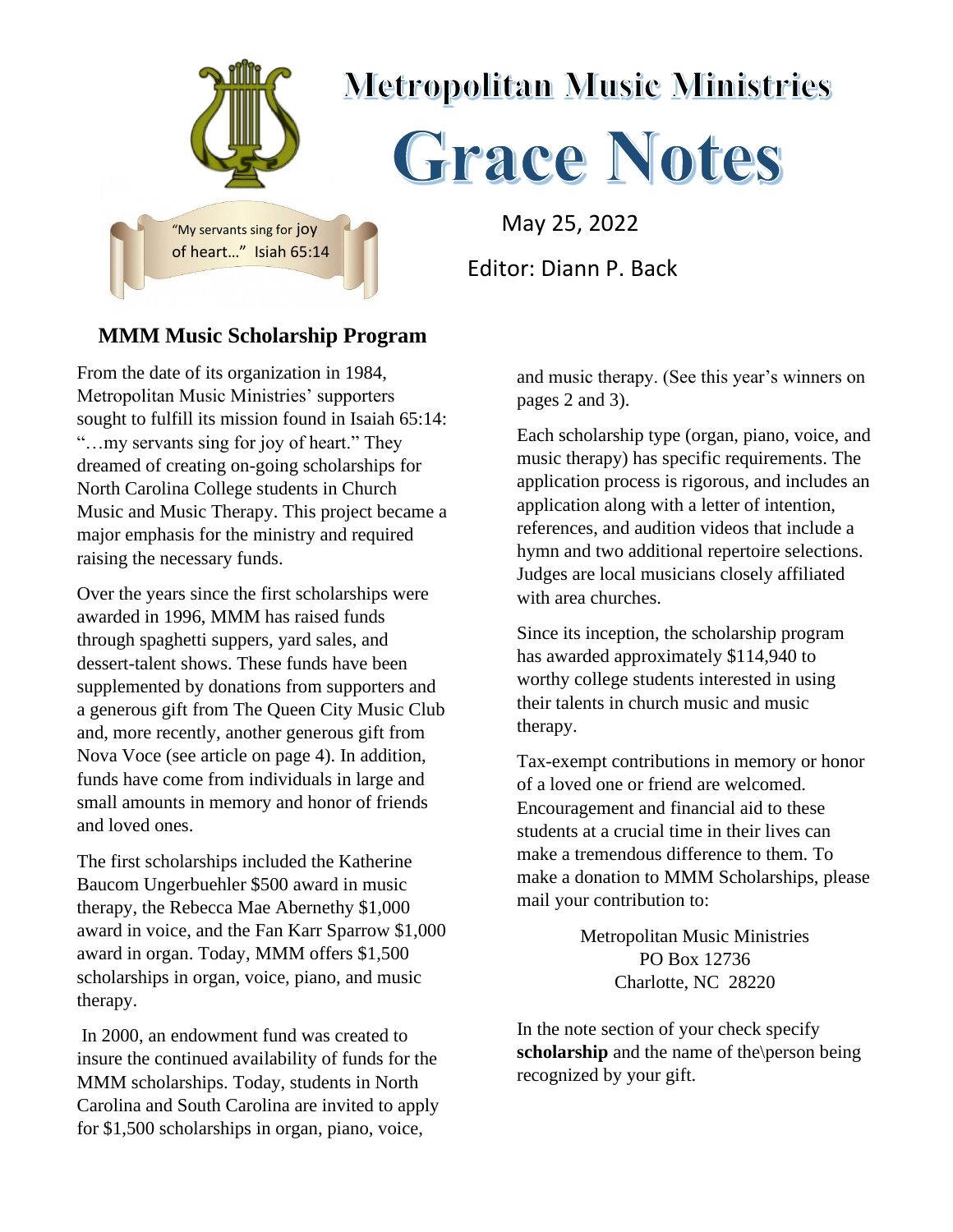

## **MMM Music Scholarship Program**

From the date of its organization in 1984, Metropolitan Music Ministries' supporters sought to fulfill its mission found in Isaiah 65:14: "…my servants sing for joy of heart." They dreamed of creating on-going scholarships for North Carolina College students in Church Music and Music Therapy. This project became a major emphasis for the ministry and required raising the necessary funds.

Over the years since the first scholarships were awarded in 1996, MMM has raised funds through spaghetti suppers, yard sales, and dessert-talent shows. These funds have been supplemented by donations from supporters and a generous gift from The Queen City Music Club and, more recently, another generous gift from Nova Voce (see article on page 4). In addition, funds have come from individuals in large and small amounts in memory and honor of friends and loved ones.

The first scholarships included the Katherine Baucom Ungerbuehler \$500 award in music therapy, the Rebecca Mae Abernethy \$1,000 award in voice, and the Fan Karr Sparrow \$1,000 award in organ. Today, MMM offers \$1,500 scholarships in organ, voice, piano, and music therapy.

In 2000, an endowment fund was created to insure the continued availability of funds for the MMM scholarships. Today, students in North Carolina and South Carolina are invited to apply for \$1,500 scholarships in organ, piano, voice,

and music therapy. (See this year's winners on pages 2 and 3).

Each scholarship type (organ, piano, voice, and music therapy) has specific requirements. The application process is rigorous, and includes an application along with a letter of intention, references, and audition videos that include a hymn and two additional repertoire selections. Judges are local musicians closely affiliated with area churches.

Since its inception, the scholarship program has awarded approximately \$114,940 to worthy college students interested in using their talents in church music and music therapy.

Tax-exempt contributions in memory or honor of a loved one or friend are welcomed. Encouragement and financial aid to these students at a crucial time in their lives can make a tremendous difference to them. To make a donation to MMM Scholarships, please mail your contribution to:

> Metropolitan Music Ministries PO Box 12736 Charlotte, NC 28220

In the note section of your check specify **scholarship** and the name of the\person being recognized by your gift.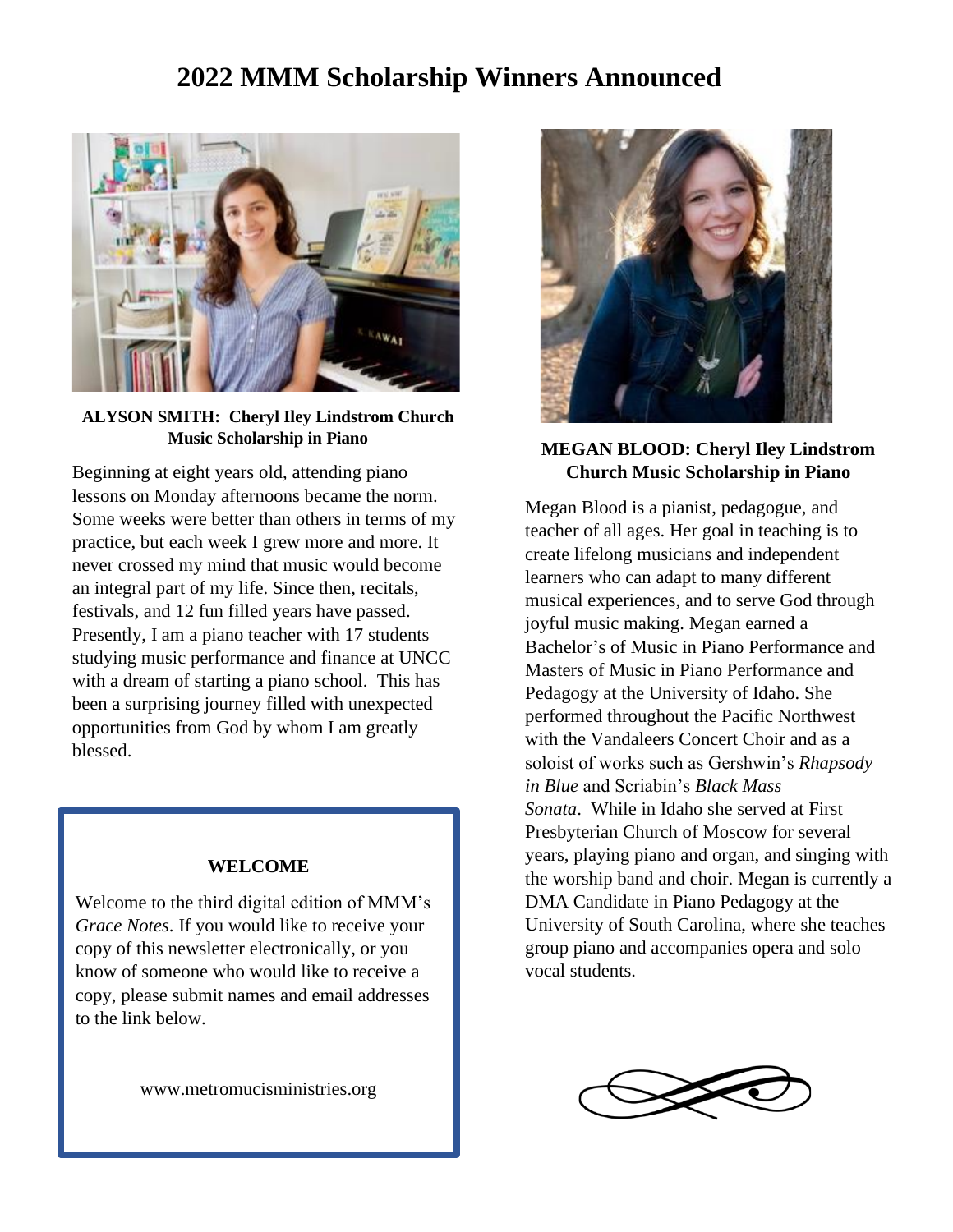# **A 2022 MMM Scholarship Winners Announced**



#### **ALYSON SMITH: Cheryl Iley Lindstrom Church Music Scholarship in Piano**

Beginning at eight years old, attending piano lessons on Monday afternoons became the norm. Some weeks were better than others in terms of my practice, but each week I grew more and more. It never crossed my mind that music would become an integral part of my life. Since then, recitals, festivals, and 12 fun filled years have passed. Presently, I am a piano teacher with 17 students studying music performance and finance at UNCC with a dream of starting a piano school. This has been a surprising journey filled with unexpected opportunities from God by whom I am greatly blessed.

#### **WELCOME**

Welcome to the third digital edition of MMM's *Grace Notes*. If you would like to receive your copy of this newsletter electronically, or you know of someone who would like to receive a copy, please submit names and email addresses to the link below.

www.metromucisministries.org



#### **MEGAN BLOOD: Cheryl Iley Lindstrom Church Music Scholarship in Piano**

Megan Blood is a pianist, pedagogue, and teacher of all ages. Her goal in teaching is to create lifelong musicians and independent learners who can adapt to many different musical experiences, and to serve God through joyful music making. Megan earned a Bachelor's of Music in Piano Performance and Masters of Music in Piano Performance and Pedagogy at the University of Idaho. She performed throughout the Pacific Northwest with the Vandaleers Concert Choir and as a soloist of works such as Gershwin's *Rhapsody in Blue* and Scriabin's *Black Mass Sonata*. While in Idaho she served at First Presbyterian Church of Moscow for several years, playing piano and organ, and singing with the worship band and choir. Megan is currently a DMA Candidate in Piano Pedagogy at the University of South Carolina, where she teaches group piano and accompanies opera and solo vocal students.

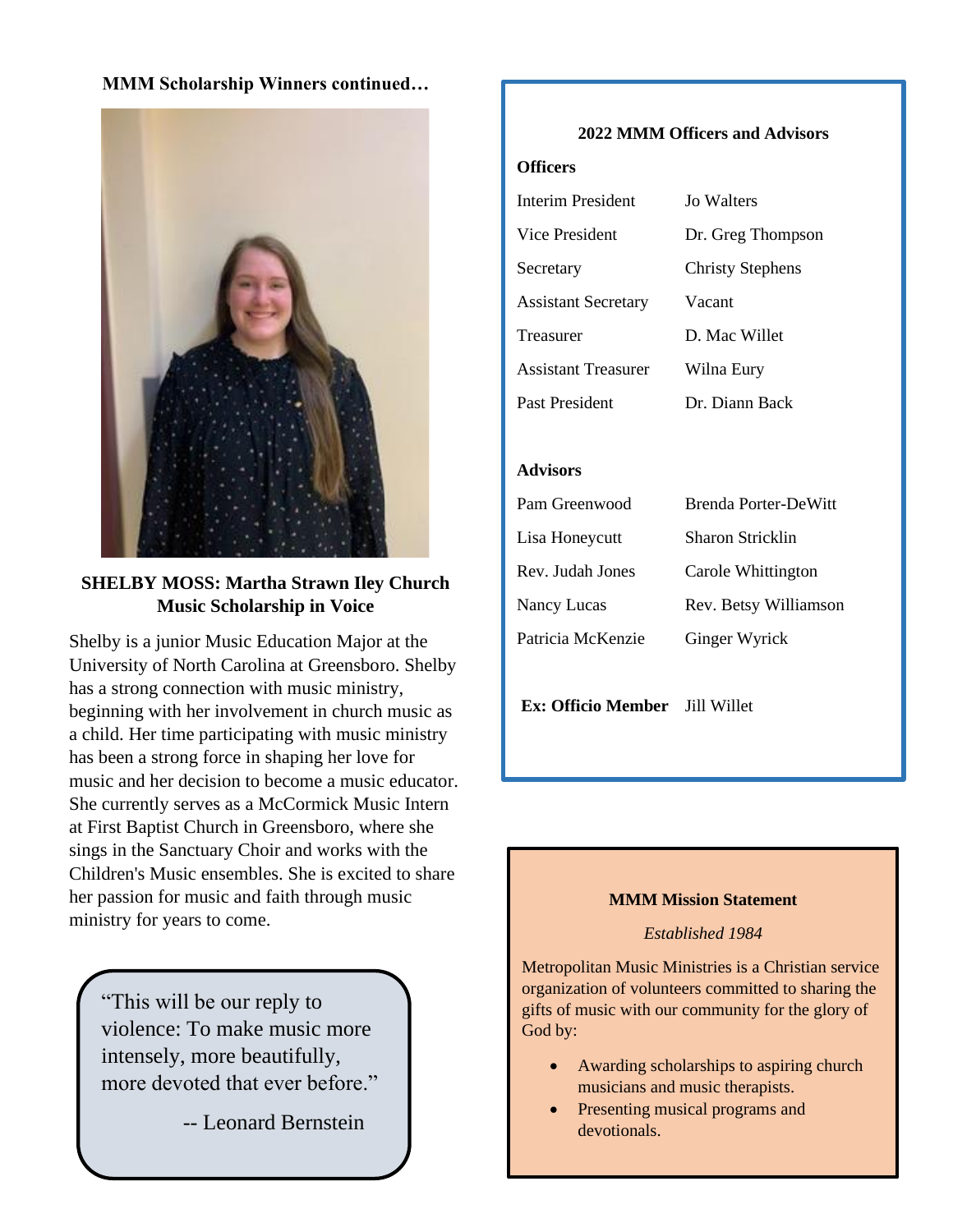## **MMM Scholarship Winners continued…**



## **SHELBY MOSS: Martha Strawn Iley Church Music Scholarship in Voice**

Shelby is a junior Music Education Major at the University of North Carolina at Greensboro. Shelby has a strong connection with music ministry, beginning with her involvement in church music as a child. Her time participating with music ministry has been a strong force in shaping her love for music and her decision to become a music educator. She currently serves as a McCormick Music Intern at First Baptist Church in Greensboro, where she sings in the Sanctuary Choir and works with the Children's Music ensembles. She is excited to share her passion for music and faith through music ministry for years to come.

"This will be our reply to violence: To make music more intensely, more beautifully, more devoted that ever before."

-- Leonard Bernstein

### **2022 MMM Officers and Advisors**

#### **Officers**

| <b>Interim President</b>   | Jo Walters              |
|----------------------------|-------------------------|
| Vice President             | Dr. Greg Thompson       |
| Secretary                  | <b>Christy Stephens</b> |
| <b>Assistant Secretary</b> | Vacant                  |
| Treasurer                  | D. Mac Willet           |
| <b>Assistant Treasurer</b> | Wilna Eury              |
| Past President             | Dr. Diann Back          |

#### **Advisors**

| Pam Greenwood     | Brenda Porter-DeWitt  |
|-------------------|-----------------------|
| Lisa Honeycutt    | Sharon Stricklin      |
| Rev. Judah Jones  | Carole Whittington    |
| Nancy Lucas       | Rev. Betsy Williamson |
| Patricia McKenzie | Ginger Wyrick         |

**Ex: Officio Member** Jill Willet

#### **MMM Mission Statement**

#### *Established 1984*

Metropolitan Music Ministries is a Christian service organization of volunteers committed to sharing the gifts of music with our community for the glory of God by:

- Awarding scholarships to aspiring church musicians and music therapists.
- Presenting musical programs and devotionals.